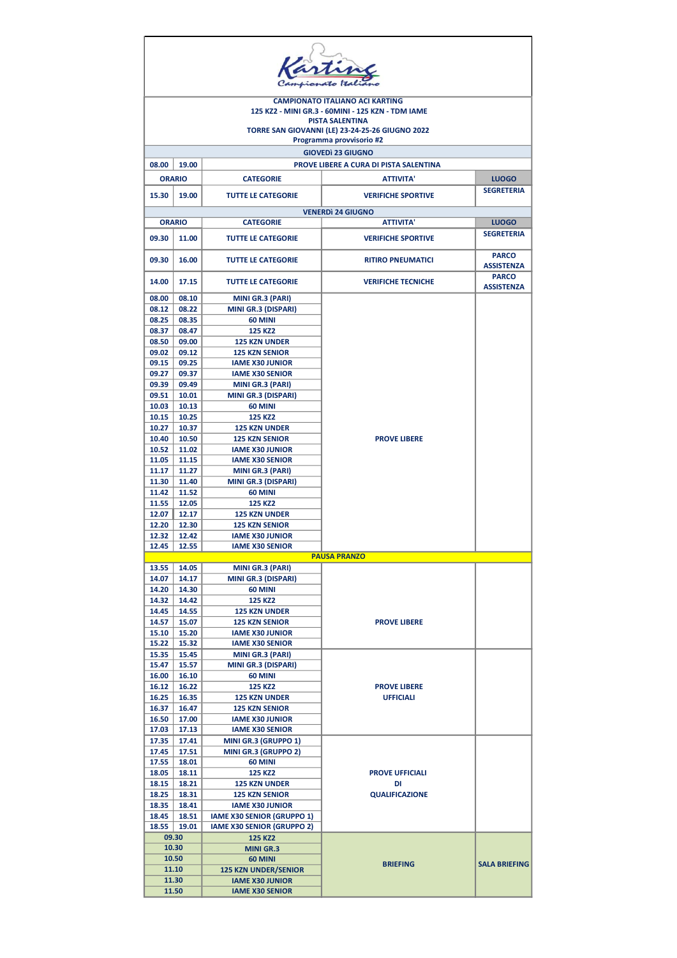| artin                                                                                                                          |                          |                                                       |                                              |                                   |  |  |  |  |
|--------------------------------------------------------------------------------------------------------------------------------|--------------------------|-------------------------------------------------------|----------------------------------------------|-----------------------------------|--|--|--|--|
| <b>CAMPIONATO ITALIANO ACI KARTING</b>                                                                                         |                          |                                                       |                                              |                                   |  |  |  |  |
| 125 KZ2 - MINI GR.3 - 60MINI - 125 KZN - TDM IAME<br><b>PISTA SALENTINA</b><br>TORRE SAN GIOVANNI (LE) 23-24-25-26 GIUGNO 2022 |                          |                                                       |                                              |                                   |  |  |  |  |
|                                                                                                                                | Programma provvisorio #2 |                                                       |                                              |                                   |  |  |  |  |
|                                                                                                                                |                          |                                                       | <b>GIOVEDI 23 GIUGNO</b>                     |                                   |  |  |  |  |
| 08.00                                                                                                                          | 19.00                    |                                                       | PROVE LIBERE A CURA DI PISTA SALENTINA       |                                   |  |  |  |  |
|                                                                                                                                | <b>ORARIO</b>            | <b>CATEGORIE</b>                                      | <b>ATTIVITA'</b>                             | <b>LUOGO</b>                      |  |  |  |  |
| 15.30                                                                                                                          | 19.00                    | <b>TUTTE LE CATEGORIE</b>                             | <b>VERIFICHE SPORTIVE</b>                    | <b>SEGRETERIA</b>                 |  |  |  |  |
|                                                                                                                                | <b>ORARIO</b>            | <b>CATEGORIE</b>                                      | <b>VENERDI 24 GIUGNO</b><br><b>ATTIVITA'</b> | <b>LUOGO</b>                      |  |  |  |  |
|                                                                                                                                |                          |                                                       |                                              | <b>SEGRETERIA</b>                 |  |  |  |  |
| 09.30                                                                                                                          | 11.00                    | <b>TUTTE LE CATEGORIE</b>                             | <b>VERIFICHE SPORTIVE</b>                    |                                   |  |  |  |  |
| 09.30                                                                                                                          | 16.00                    | <b>TUTTE LE CATEGORIE</b>                             | <b>RITIRO PNEUMATICI</b>                     | <b>PARCO</b><br><b>ASSISTENZA</b> |  |  |  |  |
| 14.00                                                                                                                          | 17.15                    | <b>TUTTE LE CATEGORIE</b>                             | <b>VERIFICHE TECNICHE</b>                    | <b>PARCO</b><br><b>ASSISTENZA</b> |  |  |  |  |
| 08.00                                                                                                                          | 08.10                    | MINI GR.3 (PARI)                                      |                                              |                                   |  |  |  |  |
| 08.12                                                                                                                          | 08.22                    | <b>MINI GR.3 (DISPARI)</b>                            |                                              |                                   |  |  |  |  |
| 08.25<br>08.37                                                                                                                 | 08.35<br>08.47           | <b>60 MINI</b><br>125 KZ2                             |                                              |                                   |  |  |  |  |
| 08.50                                                                                                                          | 09.00                    | <b>125 KZN UNDER</b>                                  |                                              |                                   |  |  |  |  |
| 09.02                                                                                                                          | 09.12                    | <b>125 KZN SENIOR</b>                                 |                                              |                                   |  |  |  |  |
| 09.15                                                                                                                          | 09.25                    | <b>IAME X30 JUNIOR</b>                                |                                              |                                   |  |  |  |  |
| 09.27                                                                                                                          | 09.37                    | <b>IAME X30 SENIOR</b>                                |                                              |                                   |  |  |  |  |
| 09.39                                                                                                                          | 09.49                    | MINI GR.3 (PARI)                                      |                                              |                                   |  |  |  |  |
| 09.51<br>10.03                                                                                                                 | 10.01<br>10.13           | <b>MINI GR.3 (DISPARI)</b><br><b>60 MINI</b>          |                                              |                                   |  |  |  |  |
| 10.15                                                                                                                          | 10.25                    | <b>125 KZ2</b>                                        |                                              |                                   |  |  |  |  |
| 10.27                                                                                                                          | 10.37                    | <b>125 KZN UNDER</b>                                  |                                              |                                   |  |  |  |  |
| 10.40                                                                                                                          | 10.50                    | <b>125 KZN SENIOR</b>                                 | <b>PROVE LIBERE</b>                          |                                   |  |  |  |  |
| 10.52                                                                                                                          | 11.02                    | <b>IAME X30 JUNIOR</b>                                |                                              |                                   |  |  |  |  |
| 11.05                                                                                                                          | 11.15                    | <b>IAME X30 SENIOR</b>                                |                                              |                                   |  |  |  |  |
| 11.17<br>11.30                                                                                                                 | 11.27<br>11.40           | MINI GR.3 (PARI)<br>MINI GR.3 (DISPARI)               |                                              |                                   |  |  |  |  |
| 11.42                                                                                                                          | 11.52                    | <b>60 MINI</b>                                        |                                              |                                   |  |  |  |  |
| 11.55                                                                                                                          | 12.05                    | 125 KZ2                                               |                                              |                                   |  |  |  |  |
| 12.07                                                                                                                          | 12.17                    | <b>125 KZN UNDER</b>                                  |                                              |                                   |  |  |  |  |
| 12.20                                                                                                                          | 12.30                    | <b>125 KZN SENIOR</b>                                 |                                              |                                   |  |  |  |  |
| 12.32                                                                                                                          | 12.42<br>12.45 12.55     | <b>IAME X30 JUNIOR</b><br><b>IAME X30 SENIOR</b>      |                                              |                                   |  |  |  |  |
|                                                                                                                                |                          |                                                       | <b>PAUSA PRANZO</b>                          |                                   |  |  |  |  |
| 13.55                                                                                                                          | 14.05                    | MINI GR.3 (PARI)                                      |                                              |                                   |  |  |  |  |
| 14.07                                                                                                                          | 14.17                    | MINI GR.3 (DISPARI)                                   |                                              |                                   |  |  |  |  |
| 14.20                                                                                                                          | 14.30                    | 60 MINI                                               |                                              |                                   |  |  |  |  |
| 14.32<br>14.45                                                                                                                 | 14.42<br>14.55           | 125 KZ2<br><b>125 KZN UNDER</b>                       |                                              |                                   |  |  |  |  |
| 14.57                                                                                                                          | 15.07                    | <b>125 KZN SENIOR</b>                                 | <b>PROVE LIBERE</b>                          |                                   |  |  |  |  |
| 15.10                                                                                                                          | 15.20                    | <b>IAME X30 JUNIOR</b>                                |                                              |                                   |  |  |  |  |
| 15.22                                                                                                                          | 15.32                    | <b>IAME X30 SENIOR</b>                                |                                              |                                   |  |  |  |  |
| 15.35                                                                                                                          | 15.45                    | MINI GR.3 (PARI)                                      |                                              |                                   |  |  |  |  |
| 15.47<br>16.00                                                                                                                 | 15.57<br>16.10           | <b>MINI GR.3 (DISPARI)</b><br>60 MINI                 |                                              |                                   |  |  |  |  |
| 16.12                                                                                                                          | 16.22                    | 125 KZ2                                               | <b>PROVE LIBERE</b>                          |                                   |  |  |  |  |
| 16.25                                                                                                                          | 16.35                    | <b>125 KZN UNDER</b>                                  | <b>UFFICIALI</b>                             |                                   |  |  |  |  |
| 16.37                                                                                                                          | 16.47                    | <b>125 KZN SENIOR</b>                                 |                                              |                                   |  |  |  |  |
| 16.50                                                                                                                          | 17.00                    | <b>IAME X30 JUNIOR</b>                                |                                              |                                   |  |  |  |  |
| 17.03<br>17.35                                                                                                                 | 17.13<br>17.41           | <b>IAME X30 SENIOR</b><br><b>MINI GR.3 (GRUPPO 1)</b> |                                              |                                   |  |  |  |  |
| 17.45                                                                                                                          | 17.51                    | MINI GR.3 (GRUPPO 2)                                  |                                              |                                   |  |  |  |  |
| 17.55                                                                                                                          | 18.01                    | 60 MINI                                               |                                              |                                   |  |  |  |  |
| 18.05                                                                                                                          | 18.11                    | 125 KZ2                                               | <b>PROVE UFFICIALI</b>                       |                                   |  |  |  |  |
| 18.15                                                                                                                          | 18.21                    | <b>125 KZN UNDER</b>                                  | DI                                           |                                   |  |  |  |  |
| 18.25<br>18.35                                                                                                                 | 18.31<br>18.41           | <b>125 KZN SENIOR</b><br><b>IAME X30 JUNIOR</b>       | <b>QUALIFICAZIONE</b>                        |                                   |  |  |  |  |
| 18.45                                                                                                                          | 18.51                    | <b>IAME X30 SENIOR (GRUPPO 1)</b>                     |                                              |                                   |  |  |  |  |
| 18.55                                                                                                                          | 19.01                    | <b>IAME X30 SENIOR (GRUPPO 2)</b>                     |                                              |                                   |  |  |  |  |
|                                                                                                                                | 09.30                    | <b>125 KZ2</b>                                        |                                              |                                   |  |  |  |  |
|                                                                                                                                | 10.30                    | <b>MINI GR.3</b>                                      |                                              |                                   |  |  |  |  |
|                                                                                                                                | 10.50                    | 60 MINI                                               | <b>BRIEFING</b>                              | <b>SALA BRIEFING</b>              |  |  |  |  |
| 11.10<br>11.30                                                                                                                 |                          | <b>125 KZN UNDER/SENIOR</b><br><b>IAME X30 JUNIOR</b> |                                              |                                   |  |  |  |  |
| 11.50                                                                                                                          |                          | <b>IAME X30 SENIOR</b>                                |                                              |                                   |  |  |  |  |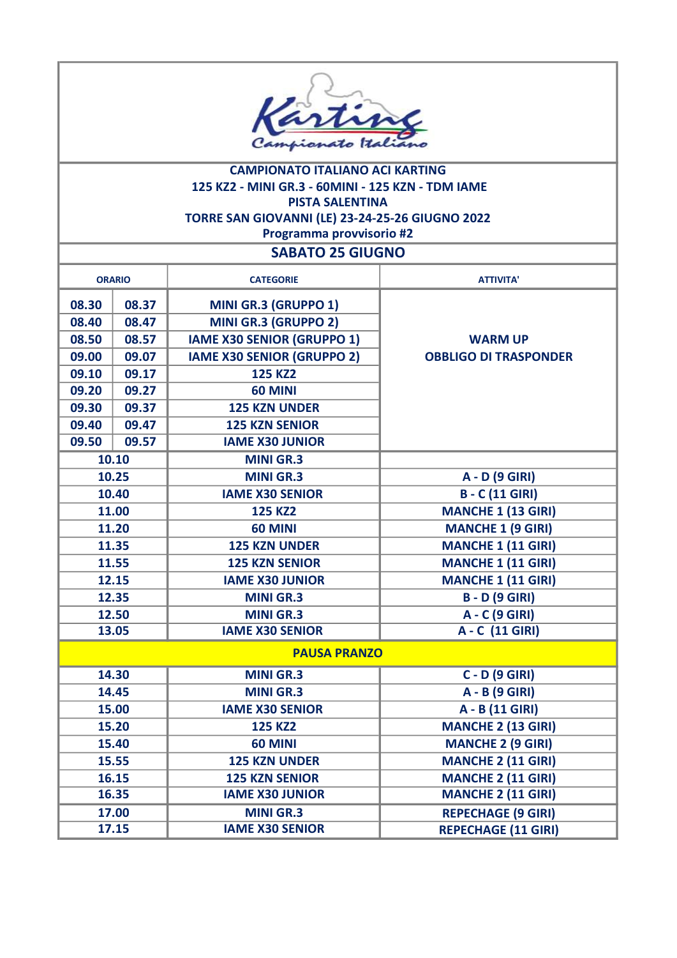

## CAMPIONATO ITALIANO ACI KARTING 125 KZ2 - MINI GR.3 - 60MINI - 125 KZN - TDM IAME PISTA SALENTINA TORRE SAN GIOVANNI (LE) 23-24-25-26 GIUGNO 2022 Programma provvisorio #2

## SABATO 25 GIUGNO

| <b>ORARIO</b> |       |       | <b>CATEGORIE</b>                  | <b>ATTIVITA'</b>             |
|---------------|-------|-------|-----------------------------------|------------------------------|
| 08.30         |       | 08.37 | <b>MINI GR.3 (GRUPPO 1)</b>       |                              |
|               | 08.40 |       |                                   |                              |
|               |       | 08.47 | MINI GR.3 (GRUPPO 2)              |                              |
|               | 08.50 | 08.57 | <b>IAME X30 SENIOR (GRUPPO 1)</b> | <b>WARM UP</b>               |
|               | 09.00 | 09.07 | <b>IAME X30 SENIOR (GRUPPO 2)</b> | <b>OBBLIGO DI TRASPONDER</b> |
|               | 09.10 | 09.17 | <b>125 KZ2</b>                    |                              |
|               | 09.20 | 09.27 | <b>60 MINI</b>                    |                              |
|               | 09.30 | 09.37 | <b>125 KZN UNDER</b>              |                              |
|               | 09.40 | 09.47 | <b>125 KZN SENIOR</b>             |                              |
|               | 09.50 | 09.57 | <b>IAME X30 JUNIOR</b>            |                              |
|               |       | 10.10 | <b>MINI GR.3</b>                  |                              |
|               |       | 10.25 | <b>MINI GR.3</b>                  | A - D (9 GIRI)               |
|               |       | 10.40 | <b>IAME X30 SENIOR</b>            | <b>B-C(11 GIRI)</b>          |
|               |       | 11.00 | <b>125 KZ2</b>                    | <b>MANCHE 1 (13 GIRI)</b>    |
|               |       | 11.20 | <b>60 MINI</b>                    | <b>MANCHE 1 (9 GIRI)</b>     |
|               |       | 11.35 | <b>125 KZN UNDER</b>              | <b>MANCHE 1 (11 GIRI)</b>    |
| 11.55         |       |       | <b>125 KZN SENIOR</b>             | <b>MANCHE 1 (11 GIRI)</b>    |
|               |       | 12.15 | <b>IAME X30 JUNIOR</b>            | <b>MANCHE 1 (11 GIRI)</b>    |
| 12.35         |       |       | <b>MINI GR.3</b>                  | <b>B</b> - D (9 GIRI)        |
| 12.50         |       |       | <b>MINI GR.3</b>                  | A - C (9 GIRI)               |
| 13.05         |       |       | <b>IAME X30 SENIOR</b>            | A - C (11 GIRI)              |
|               |       |       | <b>PAUSA PRANZO</b>               |                              |
| 14.30         |       |       | <b>MINI GR.3</b>                  | <b>C-D (9 GIRI)</b>          |
| 14.45         |       |       | <b>MINI GR.3</b>                  | A - B (9 GIRI)               |
| 15.00         |       |       | <b>IAME X30 SENIOR</b>            | A - B (11 GIRI)              |
| 15.20         |       |       | <b>125 KZ2</b>                    | <b>MANCHE 2 (13 GIRI)</b>    |
| 15.40         |       |       | <b>60 MINI</b>                    | <b>MANCHE 2 (9 GIRI)</b>     |
| 15.55         |       |       | <b>125 KZN UNDER</b>              | <b>MANCHE 2 (11 GIRI)</b>    |
| 16.15         |       |       | <b>125 KZN SENIOR</b>             | <b>MANCHE 2 (11 GIRI)</b>    |
| 16.35         |       |       | <b>IAME X30 JUNIOR</b>            | <b>MANCHE 2 (11 GIRI)</b>    |
| 17.00         |       |       | <b>MINI GR.3</b>                  | <b>REPECHAGE (9 GIRI)</b>    |
| 17.15         |       |       | <b>IAME X30 SENIOR</b>            | <b>REPECHAGE (11 GIRI)</b>   |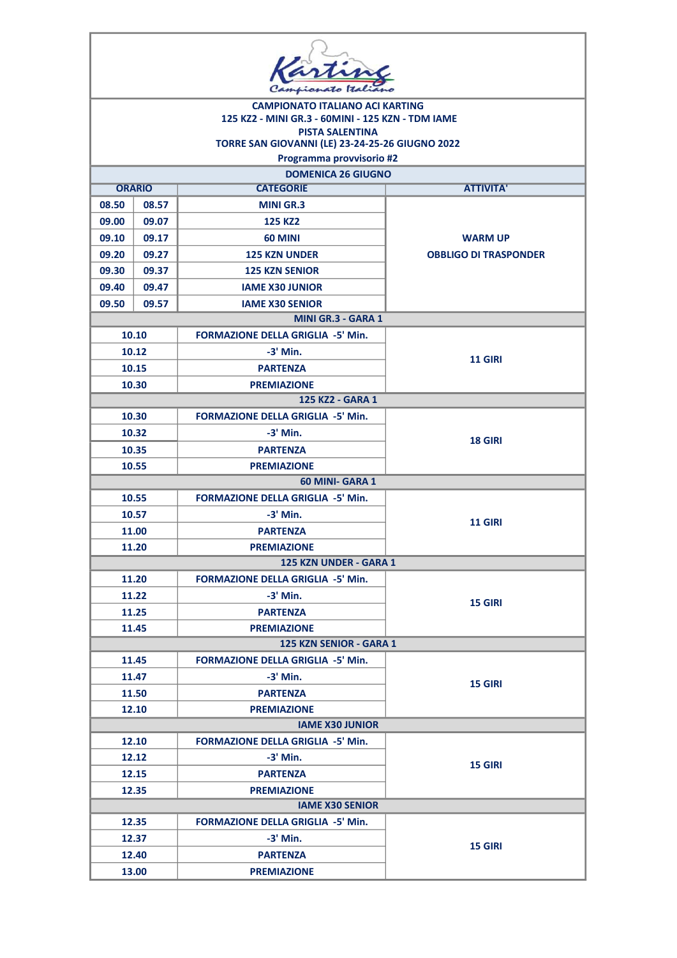| <b>CAMPIONATO ITALIANO ACI KARTING</b> |                        |                                                   |                              |  |  |  |
|----------------------------------------|------------------------|---------------------------------------------------|------------------------------|--|--|--|
|                                        |                        | 125 KZ2 - MINI GR.3 - 60MINI - 125 KZN - TDM IAME |                              |  |  |  |
|                                        |                        | <b>PISTA SALENTINA</b>                            |                              |  |  |  |
|                                        |                        | TORRE SAN GIOVANNI (LE) 23-24-25-26 GIUGNO 2022   |                              |  |  |  |
|                                        |                        | Programma provvisorio #2                          |                              |  |  |  |
|                                        | <b>ORARIO</b>          | <b>DOMENICA 26 GIUGNO</b><br><b>CATEGORIE</b>     | <b>ATTIVITA'</b>             |  |  |  |
| 08.50                                  | 08.57                  | <b>MINI GR.3</b>                                  |                              |  |  |  |
| 09.00                                  | 09.07                  | <b>125 KZ2</b>                                    |                              |  |  |  |
| 09.10                                  | 09.17                  | 60 MINI                                           | <b>WARM UP</b>               |  |  |  |
|                                        |                        | <b>125 KZN UNDER</b>                              |                              |  |  |  |
| 09.20                                  | 09.27                  |                                                   | <b>OBBLIGO DI TRASPONDER</b> |  |  |  |
| 09.30                                  | 09.37                  | <b>125 KZN SENIOR</b>                             |                              |  |  |  |
| 09.40                                  | 09.47                  | <b>IAME X30 JUNIOR</b>                            |                              |  |  |  |
| 09.50                                  | 09.57                  | <b>IAME X30 SENIOR</b>                            |                              |  |  |  |
|                                        |                        | MINI GR.3 - GARA 1                                |                              |  |  |  |
|                                        | 10.10                  | <b>FORMAZIONE DELLA GRIGLIA -5' Min.</b>          |                              |  |  |  |
|                                        | 10.12                  | $-3'$ Min.                                        | <b>11 GIRI</b>               |  |  |  |
|                                        | 10.15                  | <b>PARTENZA</b>                                   |                              |  |  |  |
| 10.30                                  |                        | <b>PREMIAZIONE</b>                                |                              |  |  |  |
|                                        |                        | 125 KZ2 - GARA 1                                  |                              |  |  |  |
| 10.30                                  |                        | <b>FORMAZIONE DELLA GRIGLIA -5' Min.</b>          |                              |  |  |  |
|                                        | 10.32                  | $-3'$ Min.                                        | 18 GIRI                      |  |  |  |
|                                        | 10.35                  | <b>PARTENZA</b>                                   |                              |  |  |  |
| 10.55                                  |                        | <b>PREMIAZIONE</b>                                |                              |  |  |  |
|                                        |                        | 60 MINI- GARA 1                                   |                              |  |  |  |
|                                        | 10.55                  | <b>FORMAZIONE DELLA GRIGLIA -5' Min.</b>          |                              |  |  |  |
|                                        | 10.57                  | $-3'$ Min.                                        | <b>11 GIRI</b>               |  |  |  |
|                                        | 11.00                  | <b>PARTENZA</b>                                   |                              |  |  |  |
| 11.20                                  |                        | <b>PREMIAZIONE</b>                                |                              |  |  |  |
|                                        |                        | 125 KZN UNDER - GARA 1                            |                              |  |  |  |
|                                        | 11.20                  | <b>FORMAZIONE DELLA GRIGLIA -5' Min.</b>          |                              |  |  |  |
| 11.22                                  |                        | $-3'$ Min.                                        | <b>15 GIRI</b>               |  |  |  |
|                                        | 11.25                  | <b>PARTENZA</b>                                   |                              |  |  |  |
|                                        | 11.45                  | <b>PREMIAZIONE</b>                                |                              |  |  |  |
|                                        |                        | 125 KZN SENIOR - GARA 1                           |                              |  |  |  |
|                                        | 11.45                  | <b>FORMAZIONE DELLA GRIGLIA -5' Min.</b>          |                              |  |  |  |
|                                        | 11.47                  | $-3'$ Min.                                        | <b>15 GIRI</b>               |  |  |  |
|                                        | 11.50                  | <b>PARTENZA</b>                                   |                              |  |  |  |
| 12.10                                  |                        | <b>PREMIAZIONE</b>                                |                              |  |  |  |
|                                        | <b>IAME X30 JUNIOR</b> |                                                   |                              |  |  |  |
|                                        | 12.10                  | <b>FORMAZIONE DELLA GRIGLIA -5' Min.</b>          |                              |  |  |  |
| 12.12                                  |                        | $-3'$ Min.                                        |                              |  |  |  |
| 12.15                                  |                        | <b>PARTENZA</b>                                   | <b>15 GIRI</b>               |  |  |  |
| 12.35                                  |                        | <b>PREMIAZIONE</b>                                |                              |  |  |  |
|                                        |                        | <b>IAME X30 SENIOR</b>                            |                              |  |  |  |
|                                        | 12.35                  | <b>FORMAZIONE DELLA GRIGLIA -5' Min.</b>          |                              |  |  |  |
| 12.37                                  |                        | $-3'$ Min.                                        |                              |  |  |  |
| 12.40                                  |                        | <b>PARTENZA</b>                                   | <b>15 GIRI</b>               |  |  |  |
| 13.00                                  |                        | <b>PREMIAZIONE</b>                                |                              |  |  |  |